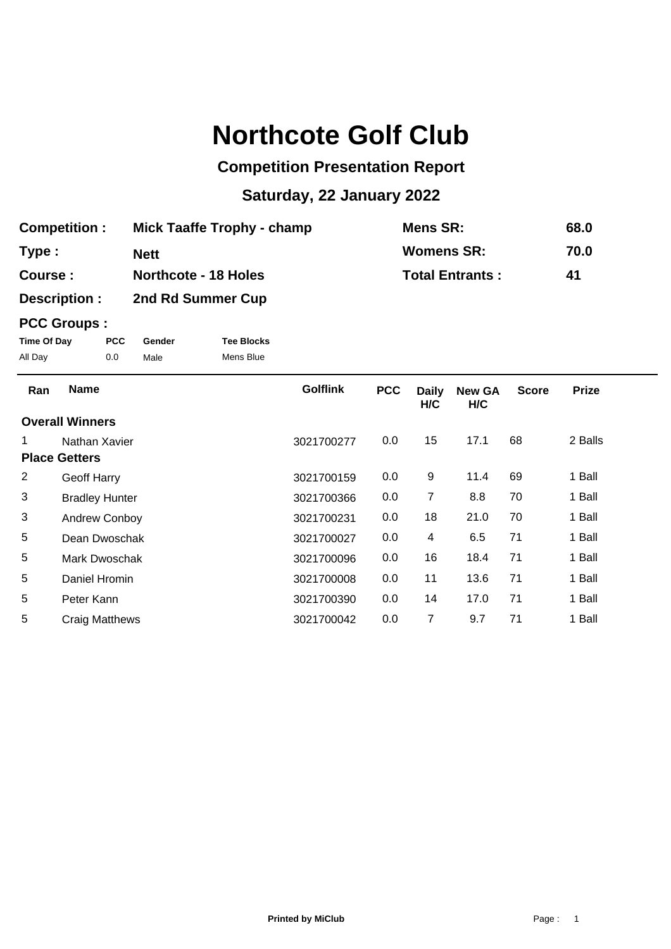# **Northcote Golf Club**

## **Competition Presentation Report**

## **Saturday, 22 January 2022**

| <b>Competition:</b> | <b>Mick Taaffe Trophy - champ</b> | Mens SR:               | 68.0 |
|---------------------|-----------------------------------|------------------------|------|
| Type :              | <b>Nett</b>                       | <b>Womens SR:</b>      | 70.0 |
| Course:             | <b>Northcote - 18 Holes</b>       | <b>Total Entrants:</b> | 41   |
| Description :       | 2nd Rd Summer Cup                 |                        |      |

### **PCC Groups :**

| Time Of Day | <b>PCC</b> | Gender | <b>Tee Blocks</b> |
|-------------|------------|--------|-------------------|
| All Day     | 0.0        | Male   | Mens Blue         |

| Ran                    | <b>Name</b>           | <b>Golflink</b> | <b>PCC</b> | <b>Daily</b><br>H/C | <b>New GA</b><br>H/C | <b>Score</b> | <b>Prize</b> |
|------------------------|-----------------------|-----------------|------------|---------------------|----------------------|--------------|--------------|
| <b>Overall Winners</b> |                       |                 |            |                     |                      |              |              |
| 1                      | Nathan Xavier         | 3021700277      | 0.0        | 15                  | 17.1                 | 68           | 2 Balls      |
| <b>Place Getters</b>   |                       |                 |            |                     |                      |              |              |
| 2                      | Geoff Harry           | 3021700159      | 0.0        | 9                   | 11.4                 | 69           | 1 Ball       |
| 3                      | <b>Bradley Hunter</b> | 3021700366      | 0.0        | 7                   | 8.8                  | 70           | 1 Ball       |
| 3                      | Andrew Conboy         | 3021700231      | 0.0        | 18                  | 21.0                 | 70           | 1 Ball       |
| 5                      | Dean Dwoschak         | 3021700027      | 0.0        | 4                   | 6.5                  | 71           | 1 Ball       |
| 5                      | Mark Dwoschak         | 3021700096      | 0.0        | 16                  | 18.4                 | 71           | 1 Ball       |
| 5                      | Daniel Hromin         | 3021700008      | 0.0        | 11                  | 13.6                 | 71           | 1 Ball       |
| 5                      | Peter Kann            | 3021700390      | 0.0        | 14                  | 17.0                 | 71           | 1 Ball       |
| 5                      | <b>Craig Matthews</b> | 3021700042      | 0.0        | 7                   | 9.7                  | 71           | 1 Ball       |